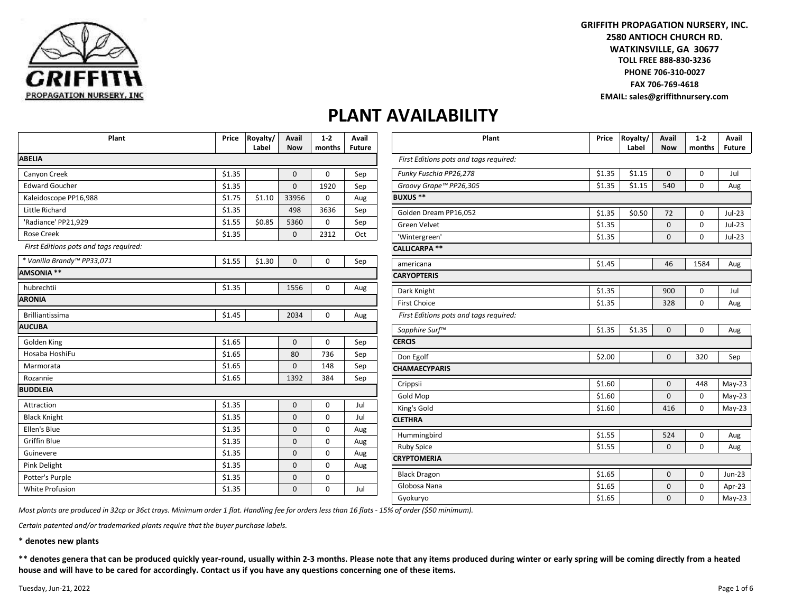

**GRIFFITH PROPAGATION NURSERY, INC. 2580 ANTIOCH CHURCH RD. TOLL FREE 888-830-3236 WATKINSVILLE, GA 30677 PHONE 706-310-0027 FAX 706-769-4618 EMAIL: sales@griffithnursery.com**

#### **PLANT AVAILABILITY**

| Plant                                  | Price  | Royalty/<br>Label | Avail<br><b>Now</b> | $1 - 2$<br>months | Avail<br><b>Future</b> |
|----------------------------------------|--------|-------------------|---------------------|-------------------|------------------------|
| <b>ABELIA</b>                          |        |                   |                     |                   |                        |
| Canyon Creek                           | \$1.35 |                   | 0                   | $\Omega$          | Sep                    |
| <b>Edward Goucher</b>                  | \$1.35 |                   | $\Omega$            | 1920              | Sep                    |
| Kaleidoscope PP16,988                  | \$1.75 | \$1.10            | 33956               | 0                 | Aug                    |
| Little Richard                         | \$1.35 |                   | 498                 | 3636              | Sep                    |
| 'Radiance' PP21,929                    | \$1.55 | \$0.85            | 5360                | 0                 | Sep                    |
| <b>Rose Creek</b>                      | \$1.35 |                   | $\mathbf 0$         | 2312              | Oct                    |
| First Editions pots and tags required: |        |                   |                     |                   |                        |
| * Vanilla Brandy™ PP33,071             | \$1.55 | \$1.30            | $\mathbf 0$         | 0                 | Sep                    |
| AMSONIA **                             |        |                   |                     |                   |                        |
| hubrechtii                             | \$1.35 |                   | 1556                | $\mathbf 0$       | Aug                    |
| <b>ARONIA</b>                          |        |                   |                     |                   |                        |
| <b>Brilliantissima</b>                 | \$1.45 |                   | 2034                | $\mathbf 0$       | Aug                    |
| <b>AUCUBA</b>                          |        |                   |                     |                   |                        |
| Golden King                            | \$1.65 |                   | 0                   | $\mathbf 0$       | Sep                    |
| Hosaba HoshiFu                         | \$1.65 |                   | 80                  | 736               | Sep                    |
| Marmorata                              | \$1.65 |                   | $\mathbf 0$         | 148               | Sep                    |
| Rozannie                               | \$1.65 |                   | 1392                | 384               | Sep                    |
| <b>BUDDLEIA</b>                        |        |                   |                     |                   |                        |
| Attraction                             | \$1.35 |                   | $\mathbf 0$         | $\Omega$          | Jul                    |
| <b>Black Knight</b>                    | \$1.35 |                   | $\mathbf 0$         | 0                 | Jul                    |
| Ellen's Blue                           | \$1.35 |                   | $\Omega$            | $\Omega$          | Aug                    |
| <b>Griffin Blue</b>                    | \$1.35 |                   | $\mathbf 0$         | $\mathbf 0$       | Aug                    |
| Guinevere                              | \$1.35 |                   | $\mathbf 0$         | 0                 | Aug                    |
| Pink Delight                           | \$1.35 |                   | $\mathbf 0$         | $\mathbf 0$       | Aug                    |
| Potter's Purple                        | \$1.35 |                   | $\mathbf{0}$        | 0                 |                        |
|                                        |        |                   |                     |                   |                        |

| Plant                                  | Price  | Royalty/<br>Label | <b>Avail</b><br><b>Now</b> | $1-2$<br>months | <b>Avail</b><br>Future |
|----------------------------------------|--------|-------------------|----------------------------|-----------------|------------------------|
| First Editions pots and tags required: |        |                   |                            |                 |                        |
| Funky Fuschia PP26,278                 | \$1.35 | \$1.15            | $\mathbf 0$                | $\mathbf 0$     | Jul                    |
| Groovy Grape™ PP26,305                 | \$1.35 | \$1.15            | 540                        | 0               | Aug                    |
| <b>BUXUS **</b>                        |        |                   |                            |                 |                        |
| Golden Dream PP16,052                  | \$1.35 | \$0.50            | 72                         | 0               | Jul-23                 |
| <b>Green Velvet</b>                    | \$1.35 |                   | 0                          | 0               | $Jul-23$               |
| 'Wintergreen'                          | \$1.35 |                   | 0                          | $\mathbf 0$     | Jul-23                 |
| <b>CALLICARPA **</b>                   |        |                   |                            |                 |                        |
| americana                              | \$1.45 |                   | 46                         | 1584            | Aug                    |
| <b>CARYOPTERIS</b>                     |        |                   |                            |                 |                        |
| Dark Knight                            | \$1.35 |                   | 900                        | $\mathbf 0$     | Jul                    |
| <b>First Choice</b>                    | \$1.35 |                   | 328                        | 0               | Aug                    |
| First Editions pots and tags required: |        |                   |                            |                 |                        |
| Sapphire Surf™                         | \$1.35 | \$1.35            | $\mathbf 0$                | $\Omega$        | Aug                    |
| <b>CERCIS</b>                          |        |                   |                            |                 |                        |
| Don Egolf                              | \$2.00 |                   | $\mathbf 0$                | 320             | Sep                    |
| <b>CHAMAECYPARIS</b>                   |        |                   |                            |                 |                        |
| Crippsii                               | \$1.60 |                   | 0                          | 448             | $May-23$               |
| Gold Mop                               | \$1.60 |                   | $\Omega$                   | 0               | $May-23$               |
| King's Gold                            | \$1.60 |                   | 416                        | 0               | $May-23$               |
| <b>CLETHRA</b>                         |        |                   |                            |                 |                        |
| Hummingbird                            | \$1.55 |                   | 524                        | 0               | Aug                    |
| <b>Ruby Spice</b>                      | \$1.55 |                   | 0                          | 0               | Aug                    |
| <b>CRYPTOMERIA</b>                     |        |                   |                            |                 |                        |
| <b>Black Dragon</b>                    | \$1.65 |                   | 0                          | 0               | Jun-23                 |
| Globosa Nana                           | \$1.65 |                   | 0                          | 0               | Apr-23                 |
| Gyokuryo                               | \$1.65 |                   | $\overline{0}$             | $\mathbf 0$     | $May-23$               |

*Most plants are produced in 32cp or 36ct trays. Minimum order 1 flat. Handling fee for orders less than 16 flats - 15% of order (\$50 minimum).*

*Certain patented and/or trademarked plants require that the buyer purchase labels.*

**\* denotes new plants**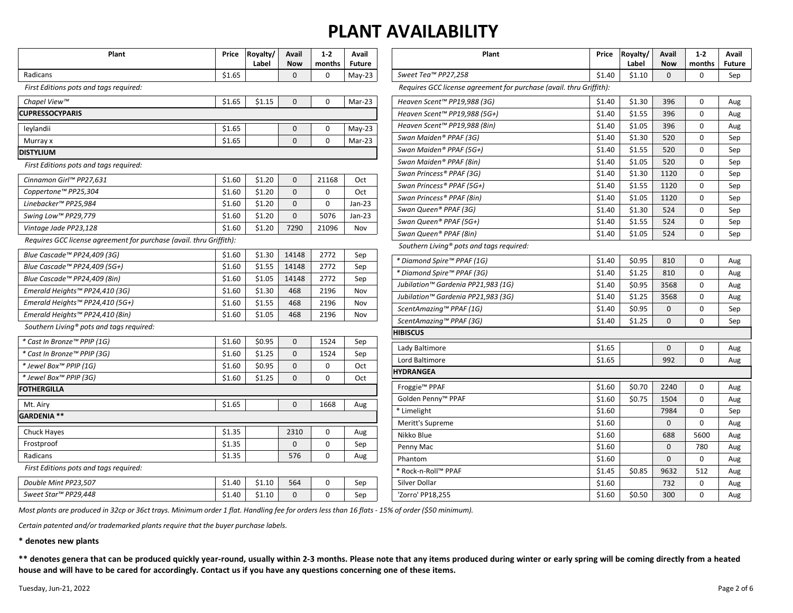| Plant                                                               | Price  | Royalty/<br>Label | Avail<br><b>Now</b> | $1 - 2$<br>months | Avail<br><b>Future</b> | Plant                                                               |        | Royalty/<br>Label | Avail<br><b>Now</b> | $1 - 2$<br>months | Avai<br>Futu |
|---------------------------------------------------------------------|--------|-------------------|---------------------|-------------------|------------------------|---------------------------------------------------------------------|--------|-------------------|---------------------|-------------------|--------------|
| Radicans                                                            | \$1.65 |                   | $\Omega$            | $\Omega$          | $May-23$               | Sweet Tea™ PP27,258                                                 | \$1.40 | \$1.10            | $\Omega$            | $\Omega$          | Sep          |
| First Editions pots and tags required:                              |        |                   |                     |                   |                        | Requires GCC license agreement for purchase (avail. thru Griffith): |        |                   |                     |                   |              |
| Chapel View™                                                        | \$1.65 | \$1.15            | $\mathbf{0}$        | $\Omega$          | $Mar-23$               | Heaven Scent™ PP19,988 (3G)                                         | \$1.40 | \$1.30            | 396                 | $\Omega$          | Aug          |
| <b>CUPRESSOCYPARIS</b>                                              |        |                   |                     |                   |                        | Heaven Scent™ PP19,988 (5G+)                                        | \$1.40 | \$1.55            | 396                 | 0                 | Aug          |
| leylandii                                                           | \$1.65 |                   | $\mathbf 0$         | $\mathbf 0$       | $May-23$               | Heaven Scent™ PP19,988 (8in)                                        | \$1.40 | \$1.05            | 396                 | $\Omega$          | Aug          |
| Murray x                                                            | \$1.65 |                   | $\Omega$            | $\Omega$          | Mar-23                 | Swan Maiden® PPAF (3G)                                              | \$1.40 | \$1.30            | 520                 | 0                 | Sep          |
| <b>DISTYLIUM</b>                                                    |        |                   |                     |                   |                        | Swan Maiden® PPAF (5G+)                                             | \$1.40 | \$1.55            | 520                 | 0                 | Sep          |
| First Editions pots and tags required:                              |        |                   |                     |                   |                        | Swan Maiden® PPAF (8in)                                             | \$1.40 | \$1.05            | 520                 | $\Omega$          | Sep          |
| Cinnamon Girl™ PP27,631                                             | \$1.60 | \$1.20            | $\mathbf{0}$        | 21168             | Oct                    | Swan Princess® PPAF (3G)                                            | \$1.40 | \$1.30            | 1120                | $\mathbf 0$       | Sep          |
| Coppertone™ PP25,304                                                | \$1.60 | \$1.20            | $\mathbf{0}$        | $\mathbf 0$       | Oct                    | Swan Princess® PPAF (5G+)                                           | \$1.40 | \$1.55            | 1120                | $\Omega$          | Sep          |
| Linebacker™ PP25,984                                                | \$1.60 | \$1.20            | $\mathbf{0}$        | $\mathbf 0$       | $Jan-23$               | Swan Princess® PPAF (8in)                                           | \$1.40 | \$1.05            | 1120                | 0                 | Sep          |
| Swing Low™ PP29,779                                                 | \$1.60 | \$1.20            | $\mathbf{0}$        | 5076              | $Jan-23$               | Swan Queen® PPAF (3G)                                               | \$1.40 | \$1.30            | 524                 | 0                 | Sep          |
| Vintage Jade PP23,128                                               | \$1.60 | \$1.20            | 7290                | 21096             | Nov                    | Swan Queen® PPAF (5G+)                                              | \$1.40 | \$1.55            | 524                 | 0                 | Sep          |
| Requires GCC license agreement for purchase (avail. thru Griffith): |        |                   |                     |                   |                        | Swan Queen® PPAF (8in)                                              | \$1.40 | \$1.05            | 524                 | 0                 | Sep          |
|                                                                     |        |                   |                     |                   |                        | Southern Living <sup>®</sup> pots and tags required:                |        |                   |                     |                   |              |
| Blue Cascade™ PP24,409 (3G)                                         | \$1.60 | \$1.30            | 14148               | 2772              | Sep                    | * Diamond Spire™ PPAF (1G)                                          | \$1.40 | \$0.95            | 810                 | 0                 | Aug          |
| Blue Cascade™ PP24,409 (5G+)                                        | \$1.60 | \$1.55            | 14148               | 2772              | Sep                    | * Diamond Spire™ PPAF (3G)                                          | \$1.40 | \$1.25            | 810                 | 0                 | Aug          |
| Blue Cascade™ PP24,409 (8in)                                        | \$1.60 | \$1.05            | 14148               | 2772              | Sep                    | Jubilation™ Gardenia PP21,983 (1G)                                  | \$1.40 | \$0.95            | 3568                | 0                 | Aug          |
| Emerald Heights™ PP24,410 (3G)                                      | \$1.60 | \$1.30            | 468                 | 2196              | Nov                    | Jubilation™ Gardenia PP21,983 (3G)                                  | \$1.40 | \$1.25            | 3568                | 0                 | Aug          |
| Emerald Heights™ PP24,410 (5G+)                                     | \$1.60 | \$1.55            | 468                 | 2196              | Nov                    | ScentAmazing™ PPAF (1G)                                             | \$1.40 | \$0.95            | $\mathbf{0}$        | 0                 | Sep          |
| Emerald Heights™ PP24,410 (8in)                                     | \$1.60 | \$1.05            | 468                 | 2196              | Nov                    | ScentAmazing™ PPAF (3G)                                             | \$1.40 | \$1.25            | $\mathbf 0$         | 0                 | Sep          |
| Southern Living <sup>®</sup> pots and tags required:                |        |                   |                     |                   |                        | HIBISCUS                                                            |        |                   |                     |                   |              |
| * Cast In Bronze™ PPIP (1G)                                         | \$1.60 | \$0.95            | $\mathbf{0}$        | 1524              | Sep                    | Lady Baltimore                                                      | \$1.65 |                   | $\mathbf{0}$        | 0                 | Aug          |
| * Cast In Bronze™ PPIP (3G)                                         | \$1.60 | \$1.25            | $\mathbf{0}$        | 1524              | Sep                    | Lord Baltimore                                                      | \$1.65 |                   | 992                 | 0                 | Aug          |
| * Jewel Box™ PPIP (1G)                                              | \$1.60 | \$0.95            | $\mathbf 0$         | $\mathbf{0}$      | Oct                    | <b>IYDRANGEA</b>                                                    |        |                   |                     |                   |              |
| * Jewel Box™ PPIP (3G)                                              | \$1.60 | \$1.25            | $\mathbf{0}$        | $\mathbf 0$       | Oct                    | Froggie <sup>™</sup> PPAF                                           | \$1.60 | \$0.70            | 2240                | 0                 |              |
| <b>FOTHERGILLA</b>                                                  |        |                   |                     |                   |                        | Golden Penny <sup>™</sup> PPAF                                      | \$1.60 | \$0.75            | 1504                | $\mathbf 0$       | Aug          |
| Mt. Airy                                                            | \$1.65 |                   | $\Omega$            | 1668              | Aug                    | * Limelight                                                         | \$1.60 |                   | 7984                | $\Omega$          | Aug          |
| GARDENIA **                                                         |        |                   |                     |                   |                        | Meritt's Supreme                                                    | \$1.60 |                   | $\mathbf 0$         | 0                 | Sep          |
| <b>Chuck Hayes</b>                                                  | \$1.35 |                   | 2310                | $\mathbf 0$       | Aug                    | Nikko Blue                                                          | \$1.60 |                   | 688                 | 5600              | Aug          |
| Frostproof                                                          | \$1.35 |                   | $\mathbf 0$         | $\mathbf 0$       | Sep                    | Penny Mac                                                           | \$1.60 |                   | $\Omega$            | 780               | Aug<br>Aug   |
| Radicans                                                            | \$1.35 |                   | 576                 | $\Omega$          | Aug                    | Phantom                                                             | \$1.60 |                   | $\Omega$            | $\Omega$          | Aug          |
| First Editions pots and tags required:                              |        |                   |                     |                   |                        | * Rock-n-Roll™ PPAF                                                 | \$1.45 | \$0.85            | 9632                | 512               | Aug          |
| Double Mint PP23,507                                                | \$1.40 | \$1.10            | 564                 | $\Omega$          | Sep                    | Silver Dollar                                                       | \$1.60 |                   | 732                 | $\mathbf 0$       | Aug          |
| Sweet Star™ PP29,448                                                | \$1.40 | \$1.10            | $\Omega$            | $\Omega$          | Sep                    | 'Zorro' PP18,255                                                    | \$1.60 | \$0.50            | 300                 | $\Omega$          | Aug          |
|                                                                     |        |                   |                     |                   |                        |                                                                     |        |                   |                     |                   |              |

*Most plants are produced in 32cp or 36ct trays. Minimum order 1 flat. Handling fee for orders less than 16 flats - 15% of order (\$50 minimum).*

*Certain patented and/or trademarked plants require that the buyer purchase labels.*

**\* denotes new plants**

**\*\* denotes genera that can be produced quickly year-round, usually within 2-3 months. Please note that any items produced during winter or early spring will be coming directly from a heated house and will have to be cared for accordingly. Contact us if you have any questions concerning one of these items.**

**Avail Future**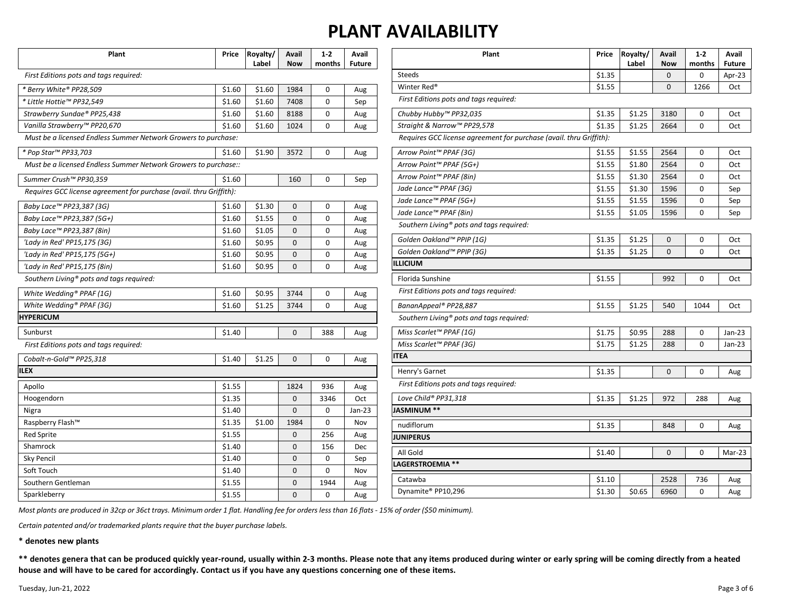| Plant                                                               | Price  | Royalty/<br>Label | Avail<br><b>Now</b> | $1-2$<br>months | Avail<br><b>Future</b> |
|---------------------------------------------------------------------|--------|-------------------|---------------------|-----------------|------------------------|
| First Editions pots and tags required:                              |        |                   |                     |                 |                        |
| * Berry White® PP28,509                                             | \$1.60 | \$1.60            | 1984                | 0               | Aug                    |
| * Little Hottie™ PP32,549                                           | \$1.60 | \$1.60            | 7408                | 0               | Sep                    |
| Strawberry Sundae® PP25,438                                         | \$1.60 | \$1.60            | 8188                | 0               | Aug                    |
| Vanilla Strawberry™ PP20,670                                        | \$1.60 | \$1.60            | 1024                | 0               | Aug                    |
| Must be a licensed Endless Summer Network Growers to purchase:      |        |                   |                     |                 |                        |
| * Pop Star™ PP33,703                                                | \$1.60 | \$1.90            | 3572                | 0               | Aug                    |
| Must be a licensed Endless Summer Network Growers to purchase::     |        |                   |                     |                 |                        |
| Summer Crush™ PP30,359                                              | \$1.60 |                   | 160                 | 0               | Sep                    |
| Requires GCC license agreement for purchase (avail. thru Griffith): |        |                   |                     |                 |                        |
| Baby Lace™ PP23,387 (3G)                                            | \$1.60 | \$1.30            | 0                   | 0               | Aug                    |
| Baby Lace™ PP23,387 (5G+)                                           | \$1.60 | \$1.55            | 0                   | 0               | Aug                    |
| Baby Lace™ PP23,387 (8in)                                           | \$1.60 | \$1.05            | 0                   | 0               | Aug                    |
| 'Lady in Red' PP15,175 (3G)                                         | \$1.60 | \$0.95            | 0                   | 0               | Aug                    |
| 'Lady in Red' PP15,175 (5G+)                                        | \$1.60 | \$0.95            | 0                   | 0               | Aug                    |
| 'Lady in Red' PP15,175 (8in)                                        | \$1.60 | \$0.95            | 0                   | 0               | Aug                    |
| Southern Living® pots and tags required:                            |        |                   |                     |                 |                        |
| White Wedding® PPAF (1G)                                            | \$1.60 | \$0.95            | 3744                | 0               | Aug                    |
| White Wedding® PPAF (3G)                                            | \$1.60 | \$1.25            | 3744                | $\Omega$        | Aug                    |
| <b>HYPERICUM</b>                                                    |        |                   |                     |                 |                        |
| Sunburst                                                            | \$1.40 |                   | 0                   | 388             | Aug                    |
| First Editions pots and tags required:                              |        |                   |                     |                 |                        |
| Cobalt-n-Gold™ PP25,318                                             | \$1.40 | \$1.25            | 0                   | 0               | Aug                    |
| <b>ILEX</b>                                                         |        |                   |                     |                 |                        |
| Apollo                                                              | \$1.55 |                   | 1824                | 936             | Aug                    |
| Hoogendorn                                                          | \$1.35 |                   | 0                   | 3346            | Oct                    |
| Nigra                                                               | \$1.40 |                   | 0                   | 0               | $Jan-23$               |
| Raspberry Flash™                                                    | \$1.35 | \$1.00            | 1984                | 0               | Nov                    |
| <b>Red Sprite</b>                                                   | \$1.55 |                   | 0                   | 256             | Aug                    |
| Shamrock                                                            | \$1.40 |                   | 0                   | 156             | Dec                    |
| <b>Sky Pencil</b>                                                   | \$1.40 |                   | 0                   | 0               | Sep                    |
| Soft Touch                                                          | \$1.40 |                   | 0                   | 0               | Nov                    |
| Southern Gentleman                                                  | \$1.55 |                   | 0                   | 1944            | Aug                    |
| Sparkleberry                                                        | \$1.55 |                   | 0                   | 0               | Aug                    |

| Plant                                                               | Price  | Royalty/<br>Label | Avail<br><b>Now</b> | $1-2$<br>months | Avail<br><b>Future</b> |
|---------------------------------------------------------------------|--------|-------------------|---------------------|-----------------|------------------------|
| <b>Steeds</b>                                                       | \$1.35 |                   | 0                   | 0               | Apr-23                 |
| Winter Red <sup>®</sup>                                             | \$1.55 |                   | $\mathbf 0$         | 1266            | Oct                    |
| First Editions pots and tags required:                              |        |                   |                     |                 |                        |
| Chubby Hubby™ PP32,035                                              | \$1.35 | \$1.25            | 3180                | 0               | Oct                    |
| Straight & Narrow™ PP29,578                                         | \$1.35 | \$1.25            | 2664                | 0               | Oct                    |
| Requires GCC license agreement for purchase (avail. thru Griffith): |        |                   |                     |                 |                        |
| Arrow Point™ PPAF (3G)                                              | \$1.55 | \$1.55            | 2564                | 0               | Oct                    |
| Arrow Point™ PPAF (5G+)                                             | \$1.55 | \$1.80            | 2564                | 0               | Oct                    |
| Arrow Point™ PPAF (8in)                                             | \$1.55 | \$1.30            | 2564                | 0               | Oct                    |
| Jade Lance™ PPAF (3G)                                               | \$1.55 | \$1.30            | 1596                | 0               | Sep                    |
| Jade Lance™ PPAF (5G+)                                              | \$1.55 | \$1.55            | 1596                | 0               | Sep                    |
| Jade Lance™ PPAF (8in)                                              | \$1.55 | \$1.05            | 1596                | 0               | Sep                    |
| Southern Living <sup>®</sup> pots and tags required:                |        |                   |                     |                 |                        |
| Golden Oakland™ PPIP (1G)                                           | \$1.35 | \$1.25            | $\mathbf 0$         | 0               | Oct                    |
| Golden Oakland™ PPIP (3G)                                           | \$1.35 | \$1.25            | 0                   | 0               | Oct                    |
| <b>ILLICIUM</b>                                                     |        |                   |                     |                 |                        |
| Florida Sunshine                                                    | \$1.55 |                   | 992                 | 0               | Oct                    |
| First Editions pots and tags required:                              |        |                   |                     |                 |                        |
| BananAppeal® PP28,887                                               | \$1.55 | \$1.25            | 540                 | 1044            | Oct                    |
| Southern Living® pots and tags required:                            |        |                   |                     |                 |                        |
| Miss Scarlet™ PPAF (1G)                                             | \$1.75 | \$0.95            | 288                 | 0               | Jan-23                 |
| Miss Scarlet™ PPAF (3G)                                             | \$1.75 | \$1.25            | 288                 | 0               | Jan-23                 |
| <b>ITEA</b>                                                         |        |                   |                     |                 |                        |
| Henry's Garnet                                                      | \$1.35 |                   | 0                   | 0               | Aug                    |
| First Editions pots and tags required:                              |        |                   |                     |                 |                        |
| Love Child® PP31,318                                                | \$1.35 | \$1.25            | 972                 | 288             | Aug                    |
| JASMINUM **                                                         |        |                   |                     |                 |                        |
| nudiflorum                                                          | \$1.35 |                   | 848                 | 0               | Aug                    |
| <b>JUNIPERUS</b>                                                    |        |                   |                     |                 |                        |
| All Gold                                                            | \$1.40 |                   | $\mathbf 0$         | 0               | Mar-23                 |
| LAGERSTROEMIA **                                                    |        |                   |                     |                 |                        |
| Catawba                                                             | \$1.10 |                   | 2528                | 736             | Aug                    |
| Dynamite® PP10,296                                                  | \$1.30 | \$0.65            | 6960                | 0               | Aug                    |

*Most plants are produced in 32cp or 36ct trays. Minimum order 1 flat. Handling fee for orders less than 16 flats - 15% of order (\$50 minimum).*

*Certain patented and/or trademarked plants require that the buyer purchase labels.*

**\* denotes new plants**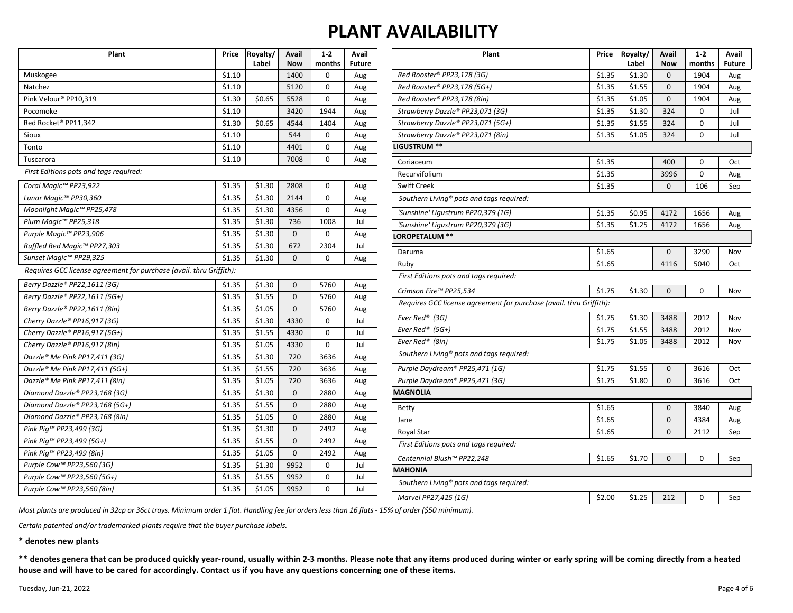| Plant                                                               | Price  | Royalty/<br>Label | Avail<br><b>Now</b> | $1-2$<br>months | Avail<br><b>Future</b> |
|---------------------------------------------------------------------|--------|-------------------|---------------------|-----------------|------------------------|
| Muskogee                                                            | \$1.10 |                   | 1400                | 0               | Aug                    |
| Natchez                                                             | \$1.10 |                   | 5120                | 0               | Aug                    |
| Pink Velour® PP10,319                                               | \$1.30 | \$0.65            | 5528                | 0               | Aug                    |
| Pocomoke                                                            | \$1.10 |                   | 3420                | 1944            | Aug                    |
| Red Rocket® PP11,342                                                | \$1.30 | \$0.65            | 4544                | 1404            | Aug                    |
| Sioux                                                               | \$1.10 |                   | 544                 | 0               | Aug                    |
| Tonto                                                               | \$1.10 |                   | 4401                | 0               | Aug                    |
| Tuscarora                                                           | \$1.10 |                   | 7008                | 0               | Aug                    |
| First Editions pots and tags required:                              |        |                   |                     |                 |                        |
| Coral Magic™ PP23,922                                               | \$1.35 | \$1.30            | 2808                | 0               | Aug                    |
| Lunar Magic™ PP30,360                                               | \$1.35 | \$1.30            | 2144                | 0               | Aug                    |
| Moonlight Magic™ PP25,478                                           | \$1.35 | \$1.30            | 4356                | 0               | Aug                    |
| Plum Magic™ PP25,318                                                | \$1.35 | \$1.30            | 736                 | 1008            | Jul                    |
| Purple Magic™ PP23,906                                              | \$1.35 | \$1.30            | 0                   | 0               | Aug                    |
| Ruffled Red Magic™ PP27,303                                         | \$1.35 | \$1.30            | 672                 | 2304            | Jul                    |
| Sunset Magic™ PP29,325                                              | \$1.35 | \$1.30            | 0                   | 0               | Aug                    |
| Requires GCC license agreement for purchase (avail. thru Griffith): |        |                   |                     |                 |                        |
| Berry Dazzle® PP22,1611 (3G)                                        | \$1.35 | \$1.30            | $\mathbf{0}$        | 5760            | Aug                    |
| Berry Dazzle® PP22,1611 (5G+)                                       | \$1.35 | \$1.55            | $\mathbf{0}$        | 5760            | Aug                    |
| Berry Dazzle® PP22,1611 (8in)                                       | \$1.35 | \$1.05            | 0                   | 5760            | Aug                    |
| Cherry Dazzle® PP16,917 (3G)                                        | \$1.35 | \$1.30            | 4330                | 0               | Jul                    |
| Cherry Dazzle® PP16,917 (5G+)                                       | \$1.35 | \$1.55            | 4330                | 0               | Jul                    |
| Cherry Dazzle® PP16,917 (8in)                                       | \$1.35 | \$1.05            | 4330                | 0               | Jul                    |
| Dazzle® Me Pink PP17,411 (3G)                                       | \$1.35 | \$1.30            | 720                 | 3636            | Aug                    |
| Dazzle® Me Pink PP17,411 (5G+)                                      | \$1.35 | \$1.55            | 720                 | 3636            | Aug                    |
| Dazzle® Me Pink PP17,411 (8in)                                      | \$1.35 | \$1.05            | 720                 | 3636            | Aug                    |
| Diamond Dazzle® PP23,168 (3G)                                       | \$1.35 | \$1.30            | 0                   | 2880            | Aug                    |
| Diamond Dazzle® PP23,168 (5G+)                                      | \$1.35 | \$1.55            | $\mathbf{0}$        | 2880            | Aug                    |
| Diamond Dazzle® PP23,168 (8in)                                      | \$1.35 | \$1.05            | $\mathbf{0}$        | 2880            | Aug                    |
| Pink Pig™ PP23,499 (3G)                                             | \$1.35 | \$1.30            | $\mathbf{0}$        | 2492            | Aug                    |
| Pink Pig™ PP23,499 (5G+)                                            | \$1.35 | \$1.55            | 0                   | 2492            | Aug                    |
| Pink Piq™ PP23,499 (8in)                                            | \$1.35 | \$1.05            | 0                   | 2492            | Aug                    |
| Purple Cow™ PP23,560 (3G)                                           | \$1.35 | \$1.30            | 9952                | 0               | Jul                    |
| Purple Cow™ PP23,560 (5G+)                                          | \$1.35 | \$1.55            | 9952                | 0               | Jul                    |
| Purple Cow™ PP23,560 (8in)                                          | \$1.35 | \$1.05            | 9952                | 0               | Jul                    |

| Plant                                                               | Price  | Royalty/<br>Label | Avail<br><b>Now</b> | $1 - 2$<br>months | Avail<br><b>Future</b> |
|---------------------------------------------------------------------|--------|-------------------|---------------------|-------------------|------------------------|
| Red Rooster® PP23,178 (3G)                                          | \$1.35 | \$1.30            | 0                   | 1904              | Aug                    |
| Red Rooster® PP23,178 (5G+)                                         | \$1.35 | \$1.55            | 0                   | 1904              | Aug                    |
| Red Rooster® PP23,178 (8in)                                         | \$1.35 | \$1.05            | 0                   | 1904              | Aug                    |
| Strawberry Dazzle® PP23,071 (3G)                                    | \$1.35 | \$1.30            | 324                 | 0                 | Jul                    |
| Strawberry Dazzle® PP23,071 (5G+)                                   | \$1.35 | \$1.55            | 324                 | 0                 | Jul                    |
| Strawberry Dazzle® PP23,071 (8in)                                   | \$1.35 | \$1.05            | 324                 | 0                 | Jul                    |
| LIGUSTRUM **                                                        |        |                   |                     |                   |                        |
| Coriaceum                                                           | \$1.35 |                   | 400                 | 0                 | Oct                    |
| Recurvifolium                                                       | \$1.35 |                   | 3996                | 0                 | Aug                    |
| <b>Swift Creek</b>                                                  | \$1.35 |                   | 0                   | 106               | Sep                    |
| Southern Living® pots and tags required:                            |        |                   |                     |                   |                        |
| 'Sunshine' Ligustrum PP20,379 (1G)                                  | \$1.35 | \$0.95            | 4172                | 1656              | Aug                    |
| 'Sunshine' Ligustrum PP20,379 (3G)                                  | \$1.35 | \$1.25            | 4172                | 1656              | Aug                    |
| LOROPETALUM **                                                      |        |                   |                     |                   |                        |
| Daruma                                                              | \$1.65 |                   | $\mathbf 0$         | 3290              | Nov                    |
| Ruby                                                                | \$1.65 |                   | 4116                | 5040              | Oct                    |
| First Editions pots and tags required:                              |        |                   |                     |                   |                        |
| Crimson Fire™ PP25,534                                              | \$1.75 | \$1.30            | 0                   | 0                 | Nov                    |
| Requires GCC license agreement for purchase (avail. thru Griffith): |        |                   |                     |                   |                        |
| Ever Red® (3G)                                                      | \$1.75 | \$1.30            | 3488                | 2012              | Nov                    |
| Ever Red <sup>®</sup> (5G+)                                         | \$1.75 | \$1.55            | 3488                | 2012              | Nov                    |
| Ever Red® (8in)                                                     | \$1.75 | \$1.05            | 3488                | 2012              | Nov                    |
| Southern Living <sup>®</sup> pots and tags required:                |        |                   |                     |                   |                        |
| Purple Daydream® PP25,471 (1G)                                      | \$1.75 | \$1.55            | 0                   | 3616              | Oct                    |
| Purple Daydream® PP25,471 (3G)                                      | \$1.75 | \$1.80            | $\Omega$            | 3616              | Oct                    |
| <b>MAGNOLIA</b>                                                     |        |                   |                     |                   |                        |
| <b>Betty</b>                                                        | \$1.65 |                   | $\mathbf 0$         | 3840              | Aug                    |
| Jane                                                                | \$1.65 |                   | 0                   | 4384              | Aug                    |
| Royal Star                                                          | \$1.65 |                   | 0                   | 2112              | Sep                    |
| First Editions pots and tags required:                              |        |                   |                     |                   |                        |
| Centennial Blush™ PP22,248                                          | \$1.65 | \$1.70            | $\mathbf 0$         | 0                 | Sep                    |
| MAHONIA                                                             |        |                   |                     |                   |                        |
| Southern Living <sup>®</sup> pots and tags required:                |        |                   |                     |                   |                        |
| Marvel PP27.425 (1G)                                                | \$2.00 | \$1.25            | 212                 | 0                 | Sep                    |

*Most plants are produced in 32cp or 36ct trays. Minimum order 1 flat. Handling fee for orders less than 16 flats - 15% of order (\$50 minimum).*

*Certain patented and/or trademarked plants require that the buyer purchase labels.*

**\* denotes new plants**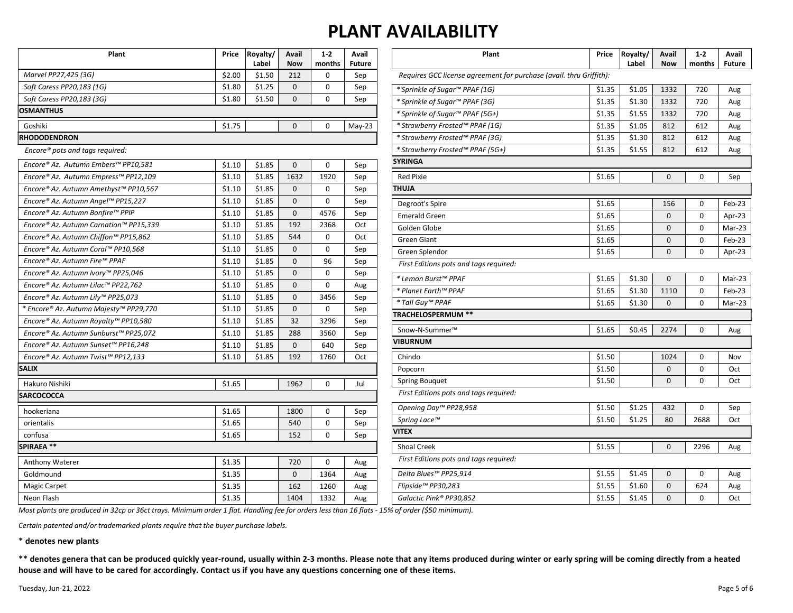| Plant                                  | Price  | Royalty/<br>Label | Avail<br><b>Now</b> | $1-2$<br>months | Avail<br><b>Future</b> | Plant                                                               | <b>Price</b> | Royalty/<br>Label | Avail<br><b>Now</b> | $1-2$<br>months | Avail<br><b>Future</b> |
|----------------------------------------|--------|-------------------|---------------------|-----------------|------------------------|---------------------------------------------------------------------|--------------|-------------------|---------------------|-----------------|------------------------|
| Marvel PP27,425 (3G)                   | \$2.00 | \$1.50            | 212                 | $\Omega$        | Sep                    | Requires GCC license agreement for purchase (avail. thru Griffith): |              |                   |                     |                 |                        |
| Soft Caress PP20,183 (1G)              | \$1.80 | \$1.25            | $\mathbf{0}$        | $\mathbf 0$     | Sep                    | * Sprinkle of Sugar™ PPAF (1G)                                      | \$1.35       | \$1.05            | 1332                | 720             |                        |
| Soft Caress PP20,183 (3G)              | \$1.80 | \$1.50            | $\mathbf 0$         | $\mathbf 0$     | Sep                    | * Sprinkle of Sugar™ PPAF (3G)                                      | \$1.35       | \$1.30            | 1332                | 720             | Aug<br>Aug             |
| <b>OSMANTHUS</b>                       |        |                   |                     |                 |                        | * Sprinkle of Sugar™ PPAF (5G+)                                     | \$1.35       | \$1.55            | 1332                | 720             | Aug                    |
| Goshiki                                | \$1.75 |                   | $\Omega$            | $\Omega$        | $May-23$               | * Strawberry Frosted™ PPAF (1G)                                     | \$1.35       | \$1.05            | 812                 | 612             | Aug                    |
| <b>RHODODENDRON</b>                    |        |                   |                     |                 |                        | * Strawberry Frosted™ PPAF (3G)                                     | \$1.35       | \$1.30            | 812                 | 612             | Aug                    |
| Encore® pots and tags required:        |        |                   |                     |                 |                        | * Strawberry Frosted™ PPAF (5G+)                                    | \$1.35       | \$1.55            | 812                 | 612             | Aug                    |
|                                        |        |                   |                     |                 |                        | <b>SYRINGA</b>                                                      |              |                   |                     |                 |                        |
| Encore® Az. Autumn Embers™ PP10.581    | \$1.10 | \$1.85            | $\Omega$            | $\mathbf 0$     | Sep                    |                                                                     |              |                   |                     |                 |                        |
| Encore® Az. Autumn Empress™ PP12,109   | \$1.10 | \$1.85            | 1632                | 1920            | Sep                    | <b>Red Pixie</b>                                                    | \$1.65       |                   | $\Omega$            | 0               | Sep                    |
| Encore® Az. Autumn Amethyst™ PP10,567  | \$1.10 | \$1.85            | $\mathbf{0}$        | $\mathsf 0$     | Sep                    | <b>THUJA</b>                                                        |              |                   |                     |                 |                        |
| Encore® Az. Autumn Angel™ PP15,227     | \$1.10 | \$1.85            | $\mathbf{0}$        | $\mathbf 0$     | Sep                    | Degroot's Spire                                                     | \$1.65       |                   | 156                 | $\mathbf 0$     | Feb-23                 |
| Encore® Az. Autumn Bonfire™ PPIP       | \$1.10 | \$1.85            | $\mathbf{0}$        | 4576            | Sep                    | <b>Emerald Green</b>                                                | \$1.65       |                   | $\mathbf{0}$        | 0               | Apr-23                 |
| Encore® Az. Autumn Carnation™ PP15,339 | \$1.10 | \$1.85            | 192                 | 2368            | Oct                    | Golden Globe                                                        | \$1.65       |                   | $\mathbf{0}$        | $\mathbf 0$     | Mar-23                 |
| Encore® Az. Autumn Chiffon™ PP15,862   | \$1.10 | \$1.85            | 544                 | $\Omega$        | Oct                    | <b>Green Giant</b>                                                  | \$1.65       |                   | 0                   | $\mathbf 0$     | Feb-23                 |
| Encore® Az. Autumn Coral™ PP10,568     | \$1.10 | \$1.85            | $\mathbf{0}$        | $\mathbf 0$     | Sep                    | Green Splendor                                                      | \$1.65       |                   | $\mathbf{0}$        | $\Omega$        | Apr-23                 |
| Encore® Az. Autumn Fire™ PPAF          | \$1.10 | \$1.85            | $\mathbf 0$         | 96              | Sep                    | First Editions pots and tags required:                              |              |                   |                     |                 |                        |
| Encore® Az. Autumn Ivory™ PP25,046     | \$1.10 | \$1.85            | $\Omega$            | $\Omega$        | Sep                    | * Lemon Burst™ PPAF                                                 | \$1.65       | \$1.30            | $\mathbf 0$         | $\mathbf 0$     | Mar-23                 |
| Encore® Az. Autumn Lilac™ PP22,762     | \$1.10 | \$1.85            | $\mathbf{0}$        | $\mathbf 0$     | Aug                    | * Planet Earth™ PPAF                                                | \$1.65       | \$1.30            | 1110                | $\Omega$        | $Feb-23$               |
| Encore® Az. Autumn Lily™ PP25,073      | \$1.10 | \$1.85            | $\mathbf 0$         | 3456            | Sep                    | * Tall Guy™ PPAF                                                    | \$1.65       | \$1.30            | $\mathbf{0}$        | $\Omega$        | Mar-23                 |
| * Encore® Az. Autumn Majesty™ PP29,770 | \$1.10 | \$1.85            | $\mathbf 0$         | $\mathbf 0$     | Sep                    | TRACHELOSPERMUM **                                                  |              |                   |                     |                 |                        |
| Encore® Az. Autumn Royalty™ PP10,580   | \$1.10 | \$1.85            | 32                  | 3296            | Sep                    |                                                                     | \$1.65       | \$0.45            | 2274                | $\mathbf 0$     |                        |
| Encore® Az. Autumn Sunburst™ PP25,072  | \$1.10 | \$1.85            | 288                 | 3560            | Sep                    | Snow-N-Summer <sup>™</sup><br><b>VIBURNUM</b>                       |              |                   |                     |                 | Aug                    |
| Encore® Az. Autumn Sunset™ PP16,248    | \$1.10 | \$1.85            | $\mathbf 0$         | 640             | Sep                    |                                                                     |              |                   |                     |                 |                        |
| Encore® Az. Autumn Twist™ PP12,133     | \$1.10 | \$1.85            | 192                 | 1760            | Oct                    | Chindo                                                              | \$1.50       |                   | 1024                | 0               | Nov                    |
| <b>SALIX</b>                           |        |                   |                     |                 |                        | Popcorn                                                             | \$1.50       |                   | $\mathbf{0}$        | 0               | Oct                    |
| Hakuro Nishiki                         | \$1.65 |                   | 1962                | $\mathbf 0$     | Jul                    | <b>Spring Bouquet</b>                                               | \$1.50       |                   | $\mathbf 0$         | $\Omega$        | Oct                    |
| <b>SARCOCOCCA</b>                      |        |                   |                     |                 |                        | First Editions pots and tags required:                              |              |                   |                     |                 |                        |
| hookeriana                             | \$1.65 |                   | 1800                | $\mathbf 0$     | Sep                    | Opening Day™ PP28,958                                               | \$1.50       | \$1.25            | 432                 | 0               | Sep                    |
| orientalis                             | \$1.65 |                   | 540                 | 0               | Sep                    | Spring Lace™                                                        | \$1.50       | \$1.25            | 80                  | 2688            | Oct                    |
| confusa                                | \$1.65 |                   | 152                 | $\mathbf 0$     | Sep                    | <b>VITEX</b>                                                        |              |                   |                     |                 |                        |
| <b>SPIRAEA**</b>                       |        |                   |                     |                 |                        | <b>Shoal Creek</b>                                                  | \$1.55       |                   | $\Omega$            | 2296            | Aug                    |
| Anthony Waterer                        | \$1.35 |                   | 720                 | 0               | Aug                    | First Editions pots and tags required:                              |              |                   |                     |                 |                        |
| Goldmound                              | \$1.35 |                   | $\mathbf 0$         | 1364            | Aug                    | Delta Blues™ PP25,914                                               | \$1.55       | \$1.45            | $\mathbf 0$         | 0               | Aug                    |
| <b>Magic Carpet</b>                    | \$1.35 |                   | 162                 | 1260            | Aug                    | Flipside™ PP30,283                                                  | \$1.55       | \$1.60            | $\mathbf 0$         | 624             | Aug                    |
| Neon Flash                             | \$1.35 |                   | 1404                | 1332            | Aug                    | Galactic Pink® PP30,852                                             | \$1.55       | \$1.45            | $\mathbf{0}$        | $\Omega$        | Oct                    |
|                                        |        |                   |                     |                 |                        |                                                                     |              |                   |                     |                 |                        |

*Most plants are produced in 32cp or 36ct trays. Minimum order 1 flat. Handling fee for orders less than 16 flats - 15% of order (\$50 minimum).*

*Certain patented and/or trademarked plants require that the buyer purchase labels.*

**\* denotes new plants**